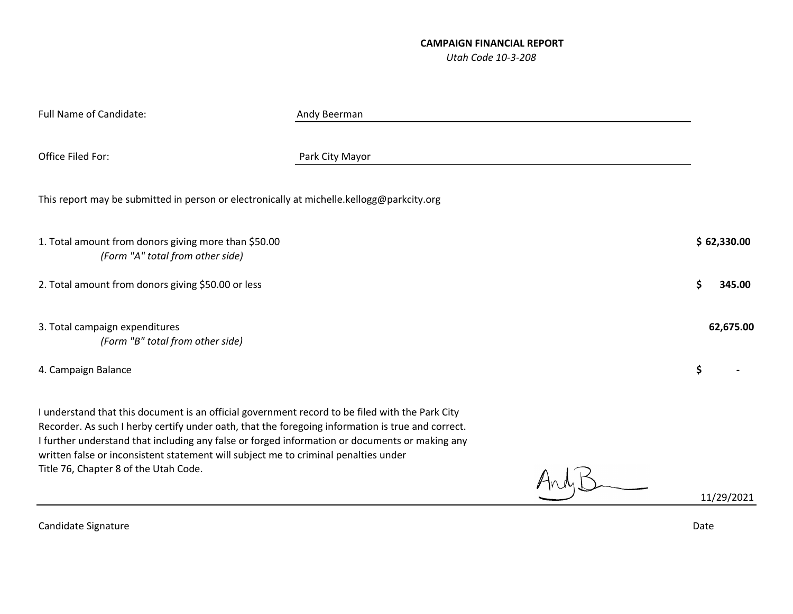## **CAMPAIGN FINANCIAL REPORT** *Utah Code 10‐3‐208*

| Andy Beerman                                                                                                                                                                                                                                                                                                                                                                                  |              |
|-----------------------------------------------------------------------------------------------------------------------------------------------------------------------------------------------------------------------------------------------------------------------------------------------------------------------------------------------------------------------------------------------|--------------|
| Park City Mayor                                                                                                                                                                                                                                                                                                                                                                               |              |
| This report may be submitted in person or electronically at michelle.kellogg@parkcity.org                                                                                                                                                                                                                                                                                                     |              |
|                                                                                                                                                                                                                                                                                                                                                                                               | \$62,330.00  |
|                                                                                                                                                                                                                                                                                                                                                                                               | \$<br>345.00 |
|                                                                                                                                                                                                                                                                                                                                                                                               | 62,675.00    |
|                                                                                                                                                                                                                                                                                                                                                                                               | \$           |
| I understand that this document is an official government record to be filed with the Park City<br>Recorder. As such I herby certify under oath, that the foregoing information is true and correct.<br>I further understand that including any false or forged information or documents or making any<br>written false or inconsistent statement will subject me to criminal penalties under | 11/29/2021   |
|                                                                                                                                                                                                                                                                                                                                                                                               |              |

CandidateSignature Date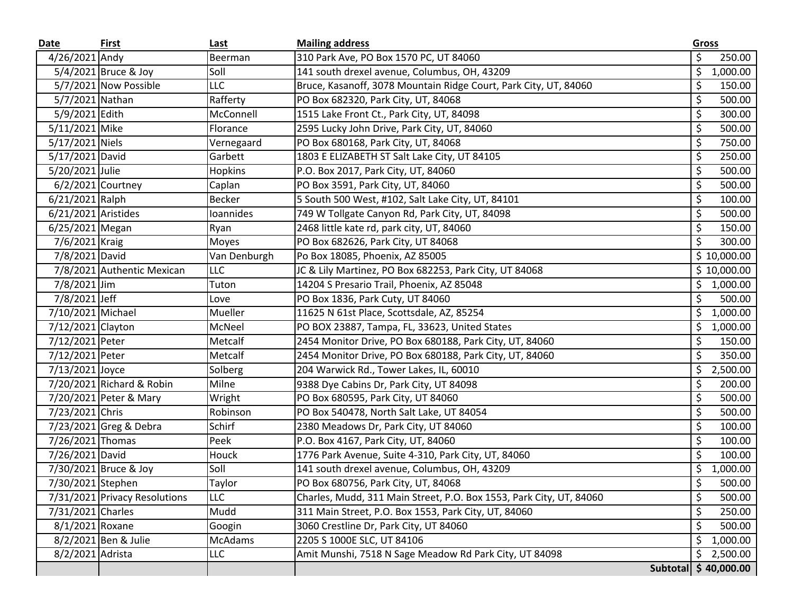| Date                | <b>First</b>                  | Last           | <b>Mailing address</b>                                              | Gross |             |
|---------------------|-------------------------------|----------------|---------------------------------------------------------------------|-------|-------------|
| 4/26/2021 Andy      |                               | Beerman        | 310 Park Ave, PO Box 1570 PC, UT 84060                              | \$    | 250.00      |
|                     | 5/4/2021 Bruce & Joy          | Soll           | 141 south drexel avenue, Columbus, OH, 43209                        | \$    | 1,000.00    |
|                     | 5/7/2021 Now Possible         | <b>LLC</b>     | Bruce, Kasanoff, 3078 Mountain Ridge Court, Park City, UT, 84060    | \$    | 150.00      |
| 5/7/2021 Nathan     |                               | Rafferty       | PO Box 682320, Park City, UT, 84068                                 | \$    | 500.00      |
| 5/9/2021 Edith      |                               | McConnell      | 1515 Lake Front Ct., Park City, UT, 84098                           | \$    | 300.00      |
| 5/11/2021 Mike      |                               | Florance       | 2595 Lucky John Drive, Park City, UT, 84060                         | \$    | 500.00      |
| 5/17/2021 Niels     |                               | Vernegaard     | PO Box 680168, Park City, UT, 84068                                 | \$    | 750.00      |
| 5/17/2021 David     |                               | Garbett        | 1803 E ELIZABETH ST Salt Lake City, UT 84105                        | \$    | 250.00      |
| 5/20/2021 Julie     |                               | <b>Hopkins</b> | P.O. Box 2017, Park City, UT, 84060                                 | \$    | 500.00      |
|                     | 6/2/2021 Courtney             | Caplan         | PO Box 3591, Park City, UT, 84060                                   | \$    | 500.00      |
| 6/21/2021 Ralph     |                               | <b>Becker</b>  | 5 South 500 West, #102, Salt Lake City, UT, 84101                   | \$    | 100.00      |
| 6/21/2021 Aristides |                               | Ioannides      | 749 W Tollgate Canyon Rd, Park City, UT, 84098                      | \$    | 500.00      |
| 6/25/2021 Megan     |                               | Ryan           | 2468 little kate rd, park city, UT, 84060                           | \$    | 150.00      |
| 7/6/2021 Kraig      |                               | Moyes          | PO Box 682626, Park City, UT 84068                                  | \$    | 300.00      |
| 7/8/2021 David      |                               | Van Denburgh   | Po Box 18085, Phoenix, AZ 85005                                     |       | \$10,000.00 |
|                     | 7/8/2021 Authentic Mexican    | <b>LLC</b>     | JC & Lily Martinez, PO Box 682253, Park City, UT 84068              |       | \$10,000.00 |
| 7/8/2021 Jim        |                               | Tuton          | 14204 S Presario Trail, Phoenix, AZ 85048                           | \$    | 1,000.00    |
| 7/8/2021 Jeff       |                               | Love           | PO Box 1836, Park Cuty, UT 84060                                    | \$    | 500.00      |
| 7/10/2021 Michael   |                               | Mueller        | 11625 N 61st Place, Scottsdale, AZ, 85254                           | \$    | 1,000.00    |
| 7/12/2021 Clayton   |                               | McNeel         | PO BOX 23887, Tampa, FL, 33623, United States                       | \$    | 1,000.00    |
| 7/12/2021 Peter     |                               | Metcalf        | 2454 Monitor Drive, PO Box 680188, Park City, UT, 84060             | \$    | 150.00      |
| 7/12/2021 Peter     |                               | Metcalf        | 2454 Monitor Drive, PO Box 680188, Park City, UT, 84060             | \$    | 350.00      |
| 7/13/2021 Joyce     |                               | Solberg        | 204 Warwick Rd., Tower Lakes, IL, 60010                             | \$    | 2,500.00    |
|                     | 7/20/2021 Richard & Robin     | Milne          | 9388 Dye Cabins Dr, Park City, UT 84098                             | \$    | 200.00      |
|                     | 7/20/2021 Peter & Mary        | Wright         | PO Box 680595, Park City, UT 84060                                  | \$    | 500.00      |
| 7/23/2021 Chris     |                               | Robinson       | PO Box 540478, North Salt Lake, UT 84054                            | \$    | 500.00      |
|                     | 7/23/2021 Greg & Debra        | Schirf         | 2380 Meadows Dr, Park City, UT 84060                                | \$    | 100.00      |
| 7/26/2021 Thomas    |                               | Peek           | P.O. Box 4167, Park City, UT, 84060                                 | \$    | 100.00      |
| 7/26/2021 David     |                               | Houck          | 1776 Park Avenue, Suite 4-310, Park City, UT, 84060                 | \$    | 100.00      |
|                     | 7/30/2021 Bruce & Joy         | Soll           | 141 south drexel avenue, Columbus, OH, 43209                        | \$    | 1,000.00    |
| 7/30/2021 Stephen   |                               | Taylor         | PO Box 680756, Park City, UT, 84068                                 | Ś.    | 500.00      |
|                     | 7/31/2021 Privacy Resolutions | <b>LLC</b>     | Charles, Mudd, 311 Main Street, P.O. Box 1553, Park City, UT, 84060 | \$    | 500.00      |
| 7/31/2021 Charles   |                               | Mudd           | 311 Main Street, P.O. Box 1553, Park City, UT, 84060                | \$    | 250.00      |
| 8/1/2021 Roxane     |                               | Googin         | 3060 Crestline Dr, Park City, UT 84060                              | \$    | 500.00      |
|                     | 8/2/2021 Ben & Julie          | <b>McAdams</b> | 2205 S 1000E SLC, UT 84106                                          | \$    | 1,000.00    |
| 8/2/2021 Adrista    |                               | <b>LLC</b>     | Amit Munshi, 7518 N Sage Meadow Rd Park City, UT 84098              | \$    | 2,500.00    |
|                     |                               |                | <b>Subtotal</b>                                                     |       | \$40,000.00 |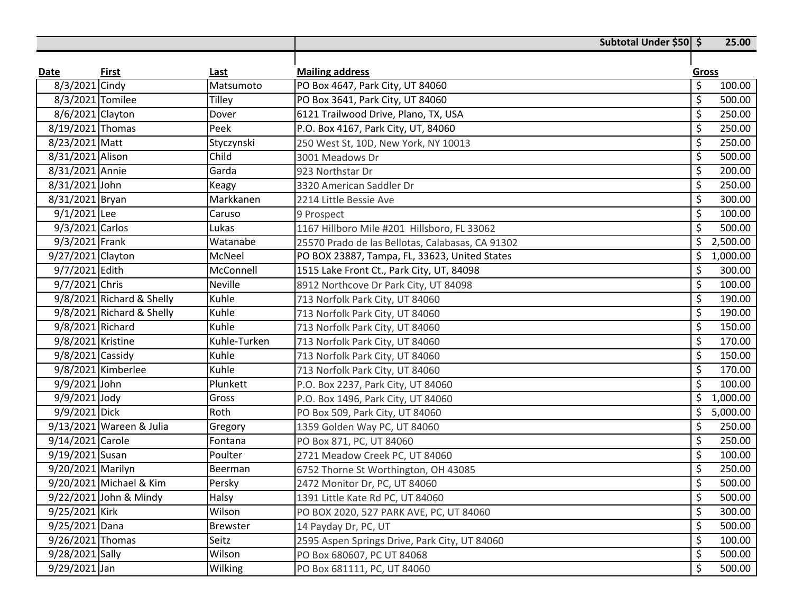|                    |                           |                 | Subtotal Under \$50 \$                           |                          | 25.00    |
|--------------------|---------------------------|-----------------|--------------------------------------------------|--------------------------|----------|
|                    |                           |                 |                                                  |                          |          |
| Date               | First                     | <b>Last</b>     | <b>Mailing address</b>                           | Gross                    |          |
| 8/3/2021 Cindy     |                           | Matsumoto       | PO Box 4647, Park City, UT 84060                 | \$                       | 100.00   |
| 8/3/2021 Tomilee   |                           | Tilley          | PO Box 3641, Park City, UT 84060                 | \$                       | 500.00   |
| 8/6/2021 Clayton   |                           | Dover           | 6121 Trailwood Drive, Plano, TX, USA             | $\overline{\mathcal{S}}$ | 250.00   |
| 8/19/2021 Thomas   |                           | Peek            | P.O. Box 4167, Park City, UT, 84060              | \$                       | 250.00   |
| 8/23/2021 Matt     |                           | Styczynski      | 250 West St, 10D, New York, NY 10013             | \$                       | 250.00   |
| 8/31/2021 Alison   |                           | Child           | 3001 Meadows Dr                                  | \$                       | 500.00   |
| 8/31/2021 Annie    |                           | Garda           | 923 Northstar Dr                                 | \$                       | 200.00   |
| 8/31/2021 John     |                           | Keagy           | 3320 American Saddler Dr                         | \$                       | 250.00   |
| 8/31/2021 Bryan    |                           | Markkanen       | 2214 Little Bessie Ave                           | \$                       | 300.00   |
| $9/1/2021$ Lee     |                           | Caruso          | 9 Prospect                                       | \$                       | 100.00   |
| 9/3/2021 Carlos    |                           | Lukas           | 1167 Hillboro Mile #201 Hillsboro, FL 33062      | \$                       | 500.00   |
| 9/3/2021 Frank     |                           | Watanabe        | 25570 Prado de las Bellotas, Calabasas, CA 91302 | \$                       | 2,500.00 |
| 9/27/2021 Clayton  |                           | McNeel          | PO BOX 23887, Tampa, FL, 33623, United States    | \$                       | 1,000.00 |
| 9/7/2021 Edith     |                           | McConnell       | 1515 Lake Front Ct., Park City, UT, 84098        | \$                       | 300.00   |
| 9/7/2021 Chris     |                           | <b>Neville</b>  | 8912 Northcove Dr Park City, UT 84098            | \$                       | 100.00   |
|                    | 9/8/2021 Richard & Shelly | Kuhle           | 713 Norfolk Park City, UT 84060                  | \$                       | 190.00   |
|                    | 9/8/2021 Richard & Shelly | Kuhle           | 713 Norfolk Park City, UT 84060                  | \$                       | 190.00   |
| 9/8/2021 Richard   |                           | Kuhle           | 713 Norfolk Park City, UT 84060                  | \$                       | 150.00   |
| 9/8/2021 Kristine  |                           | Kuhle-Turken    | 713 Norfolk Park City, UT 84060                  | $\overline{\mathcal{S}}$ | 170.00   |
| $9/8/2021$ Cassidy |                           | Kuhle           | 713 Norfolk Park City, UT 84060                  | \$                       | 150.00   |
|                    | 9/8/2021 Kimberlee        | Kuhle           | 713 Norfolk Park City, UT 84060                  | \$                       | 170.00   |
| 9/9/2021 John      |                           | Plunkett        | P.O. Box 2237, Park City, UT 84060               | \$                       | 100.00   |
| 9/9/2021 Jody      |                           | Gross           | P.O. Box 1496, Park City, UT 84060               | \$                       | 1,000.00 |
| 9/9/2021 Dick      |                           | Roth            | PO Box 509, Park City, UT 84060                  | \$                       | 5,000.00 |
|                    | 9/13/2021 Wareen & Julia  | Gregory         | 1359 Golden Way PC, UT 84060                     | \$                       | 250.00   |
| 9/14/2021 Carole   |                           | Fontana         | PO Box 871, PC, UT 84060                         | \$                       | 250.00   |
| 9/19/2021 Susan    |                           | Poulter         | 2721 Meadow Creek PC, UT 84060                   | \$                       | 100.00   |
| 9/20/2021 Marilyn  |                           | Beerman         | 6752 Thorne St Worthington, OH 43085             | \$                       | 250.00   |
|                    | 9/20/2021 Michael & Kim   | Persky          | 2472 Monitor Dr, PC, UT 84060                    | $\zeta$                  | 500.00   |
|                    | 9/22/2021 John & Mindy    | Halsy           | 1391 Little Kate Rd PC, UT 84060                 | \$                       | 500.00   |
| 9/25/2021 Kirk     |                           | Wilson          | PO BOX 2020, 527 PARK AVE, PC, UT 84060          | \$                       | 300.00   |
| 9/25/2021 Dana     |                           | <b>Brewster</b> | 14 Payday Dr, PC, UT                             | \$                       | 500.00   |
| 9/26/2021 Thomas   |                           | Seitz           | 2595 Aspen Springs Drive, Park City, UT 84060    | \$                       | 100.00   |
| 9/28/2021 Sally    |                           | Wilson          | PO Box 680607, PC UT 84068                       | \$                       | 500.00   |
| 9/29/2021 Jan      |                           | Wilking         | PO Box 681111, PC, UT 84060                      | \$                       | 500.00   |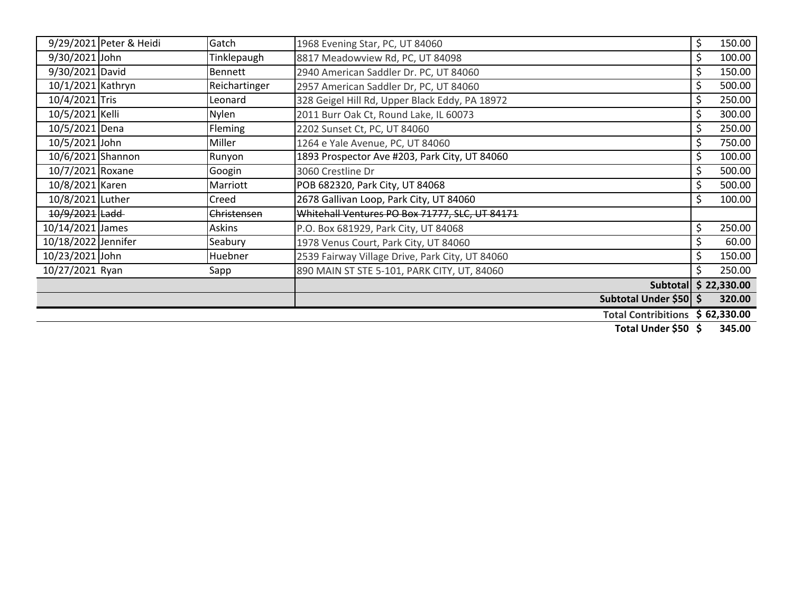|                     | 9/29/2021 Peter & Heidi | Gatch          | 1968 Evening Star, PC, UT 84060                 | \$  | 150.00 |
|---------------------|-------------------------|----------------|-------------------------------------------------|-----|--------|
| 9/30/2021 John      |                         | Tinklepaugh    | 8817 Meadowview Rd, PC, UT 84098                | \$  | 100.00 |
| 9/30/2021 David     |                         | Bennett        | 2940 American Saddler Dr. PC, UT 84060          | \$  | 150.00 |
| 10/1/2021 Kathryn   |                         | Reichartinger  | 2957 American Saddler Dr, PC, UT 84060          | \$  | 500.00 |
| 10/4/2021 Tris      |                         | Leonard        | 328 Geigel Hill Rd, Upper Black Eddy, PA 18972  | \$  | 250.00 |
| 10/5/2021 Kelli     |                         | <b>Nylen</b>   | 2011 Burr Oak Ct, Round Lake, IL 60073          | \$  | 300.00 |
| 10/5/2021 Dena      |                         | <b>Fleming</b> | 2202 Sunset Ct, PC, UT 84060                    | \$  | 250.00 |
| 10/5/2021 John      |                         | Miller         | 1264 e Yale Avenue, PC, UT 84060                | \$  | 750.00 |
| 10/6/2021 Shannon   |                         | Runyon         | 1893 Prospector Ave #203, Park City, UT 84060   | \$  | 100.00 |
| 10/7/2021 Roxane    |                         | Googin         | 3060 Crestline Dr                               | \$  | 500.00 |
| 10/8/2021 Karen     |                         | Marriott       | POB 682320, Park City, UT 84068                 | \$  | 500.00 |
| 10/8/2021 Luther    |                         | Creed          | 2678 Gallivan Loop, Park City, UT 84060         | \$  | 100.00 |
| 10/9/2021 Ladd      |                         | Christensen    | Whitehall Ventures PO Box 71777, SLC, UT 84171  |     |        |
| 10/14/2021 James    |                         | Askins         | P.O. Box 681929, Park City, UT 84068            | \$. | 250.00 |
| 10/18/2022 Jennifer |                         | Seabury        | 1978 Venus Court, Park City, UT 84060           | \$  | 60.00  |
| 10/23/2021 John     |                         | Huebner        | 2539 Fairway Village Drive, Park City, UT 84060 | \$  | 150.00 |
| 10/27/2021 Ryan     |                         | Sapp           | 890 MAIN ST STE 5-101, PARK CITY, UT, 84060     |     | 250.00 |
|                     |                         |                | Subtotal \$ 22,330.00                           |     |        |
|                     |                         |                | Subtotal Under \$50 \$                          |     | 320.00 |
|                     |                         |                | Total Contribitions \$62,330.00                 |     |        |

**Total Under \$50 345.00\$**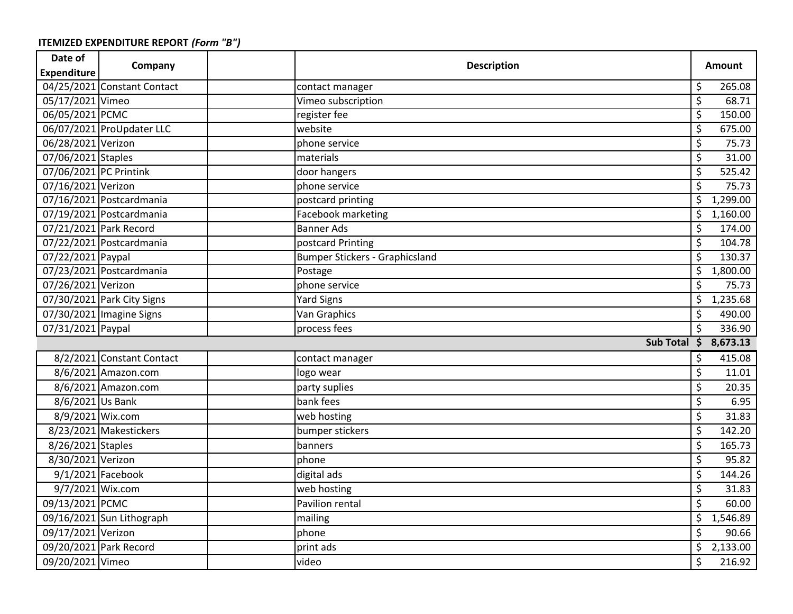| Date of                | Company                     | <b>Description</b> |                                       |                         | <b>Amount</b> |
|------------------------|-----------------------------|--------------------|---------------------------------------|-------------------------|---------------|
| <b>Expenditure</b>     |                             |                    |                                       |                         |               |
|                        | 04/25/2021 Constant Contact |                    | contact manager                       | \$                      | 265.08        |
| 05/17/2021 Vimeo       |                             |                    | Vimeo subscription                    | \$                      | 68.71         |
| 06/05/2021 PCMC        |                             |                    | register fee                          | \$                      | 150.00        |
|                        | 06/07/2021 ProUpdater LLC   |                    | website                               | \$                      | 675.00        |
| 06/28/2021 Verizon     |                             |                    | phone service                         | \$                      | 75.73         |
| 07/06/2021 Staples     |                             |                    | materials                             | \$                      | 31.00         |
| 07/06/2021 PC Printink |                             |                    | door hangers                          | \$                      | 525.42        |
| 07/16/2021 Verizon     |                             |                    | phone service                         | \$                      | 75.73         |
|                        | 07/16/2021 Postcardmania    |                    | postcard printing                     | \$                      | 1,299.00      |
|                        | 07/19/2021 Postcardmania    |                    | Facebook marketing                    | \$                      | 1,160.00      |
| 07/21/2021 Park Record |                             |                    | <b>Banner Ads</b>                     | \$                      | 174.00        |
|                        | 07/22/2021 Postcardmania    |                    | postcard Printing                     | \$                      | 104.78        |
| 07/22/2021 Paypal      |                             |                    | <b>Bumper Stickers - Graphicsland</b> | \$                      | 130.37        |
|                        | 07/23/2021 Postcardmania    |                    | Postage                               | $\overline{\xi}$        | 1,800.00      |
| 07/26/2021 Verizon     |                             |                    | phone service                         | \$                      | 75.73         |
|                        | 07/30/2021 Park City Signs  |                    | <b>Yard Signs</b>                     | \$                      | 1,235.68      |
|                        | 07/30/2021 Imagine Signs    |                    | Van Graphics                          | \$                      | 490.00        |
| 07/31/2021 Paypal      |                             |                    | process fees                          | \$                      | 336.90        |
|                        |                             |                    | Sub Total \$ 8,673.13                 |                         |               |
|                        | 8/2/2021 Constant Contact   |                    | contact manager                       | \$                      | 415.08        |
|                        | 8/6/2021 Amazon.com         |                    | logo wear                             | \$                      | 11.01         |
|                        | 8/6/2021 Amazon.com         |                    | party suplies                         | \$                      | 20.35         |
| 8/6/2021 Us Bank       |                             |                    | bank fees                             | \$                      | 6.95          |
| 8/9/2021 Wix.com       |                             |                    | web hosting                           | \$                      | 31.83         |
|                        | 8/23/2021 Makestickers      |                    | bumper stickers                       | \$                      | 142.20        |
| 8/26/2021 Staples      |                             |                    | banners                               | $\overline{\xi}$        | 165.73        |
| 8/30/2021 Verizon      |                             |                    | phone                                 | \$                      | 95.82         |
|                        | 9/1/2021 Facebook           |                    | digital ads                           | \$                      | 144.26        |
| 9/7/2021 Wix.com       |                             |                    | web hosting                           | $\overline{\mathsf{S}}$ | 31.83         |
| 09/13/2021 PCMC        |                             |                    | Pavilion rental                       | \$                      | 60.00         |
|                        | 09/16/2021 Sun Lithograph   |                    | mailing                               | \$                      | 1,546.89      |
| 09/17/2021 Verizon     |                             |                    | phone                                 | \$                      | 90.66         |
|                        | 09/20/2021 Park Record      |                    | print ads                             | \$                      | 2,133.00      |
| 09/20/2021 Vimeo       |                             |                    | video                                 | \$                      | 216.92        |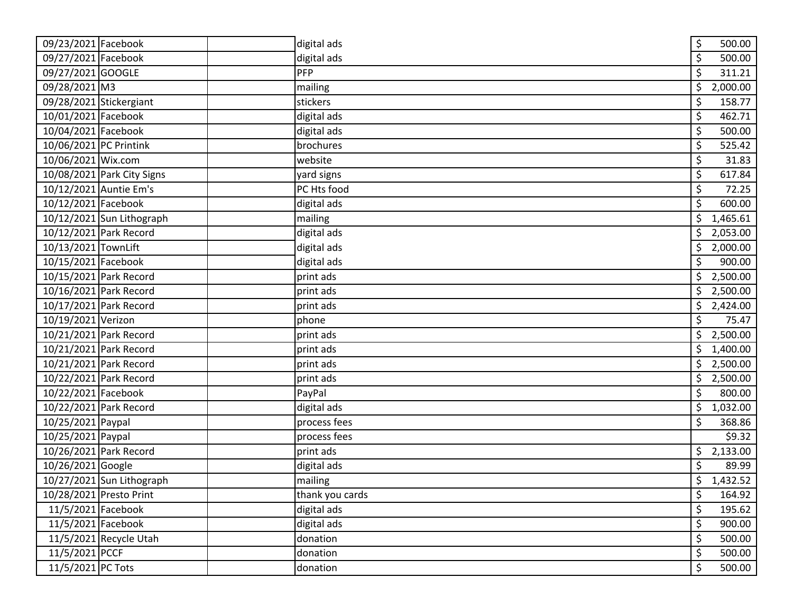| 09/23/2021 Facebook        | digital ads     | \$<br>500.00   |
|----------------------------|-----------------|----------------|
| 09/27/2021 Facebook        | digital ads     | \$<br>500.00   |
| 09/27/2021 GOOGLE          | PFP             | \$<br>311.21   |
| 09/28/2021 M3              | mailing         | \$<br>2,000.00 |
| 09/28/2021 Stickergiant    | stickers        | \$<br>158.77   |
| 10/01/2021 Facebook        | digital ads     | \$<br>462.71   |
| 10/04/2021 Facebook        | digital ads     | \$<br>500.00   |
| 10/06/2021 PC Printink     | brochures       | \$<br>525.42   |
| 10/06/2021 Wix.com         | website         | \$<br>31.83    |
| 10/08/2021 Park City Signs | yard signs      | \$<br>617.84   |
| 10/12/2021 Auntie Em's     | PC Hts food     | \$<br>72.25    |
| 10/12/2021 Facebook        | digital ads     | \$<br>600.00   |
| 10/12/2021 Sun Lithograph  | mailing         | \$<br>1,465.61 |
| 10/12/2021 Park Record     | digital ads     | \$<br>2,053.00 |
| 10/13/2021 TownLift        | digital ads     | \$<br>2,000.00 |
| 10/15/2021 Facebook        | digital ads     | \$<br>900.00   |
| 10/15/2021 Park Record     | print ads       | \$<br>2,500.00 |
| 10/16/2021 Park Record     | print ads       | \$<br>2,500.00 |
| 10/17/2021 Park Record     | print ads       | \$<br>2,424.00 |
| 10/19/2021 Verizon         | phone           | \$<br>75.47    |
| 10/21/2021 Park Record     | print ads       | \$<br>2,500.00 |
| 10/21/2021 Park Record     | print ads       | \$<br>1,400.00 |
| 10/21/2021 Park Record     | print ads       | \$<br>2,500.00 |
| 10/22/2021 Park Record     | print ads       | \$<br>2,500.00 |
| 10/22/2021 Facebook        | PayPal          | \$<br>800.00   |
| 10/22/2021 Park Record     | digital ads     | \$<br>1,032.00 |
| 10/25/2021 Paypal          | process fees    | \$<br>368.86   |
| 10/25/2021 Paypal          | process fees    | \$9.32         |
| 10/26/2021 Park Record     | print ads       | \$<br>2,133.00 |
| 10/26/2021 Google          | digital ads     | \$<br>89.99    |
| 10/27/2021 Sun Lithograph  | mailing         | \$<br>1,432.52 |
| 10/28/2021 Presto Print    | thank you cards | \$<br>164.92   |
| 11/5/2021 Facebook         | digital ads     | \$<br>195.62   |
| 11/5/2021 Facebook         | digital ads     | \$<br>900.00   |
| 11/5/2021 Recycle Utah     | donation        | \$<br>500.00   |
| 11/5/2021 PCCF             | donation        | \$<br>500.00   |
| 11/5/2021 PC Tots          | donation        | \$<br>500.00   |